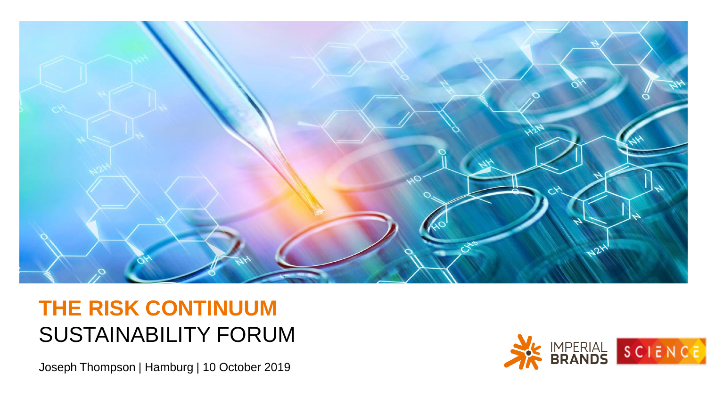

## **THE RISK CONTINUUM** SUSTAINABILITY FORUM

Joseph Thompson | Hamburg | 10 October 2019

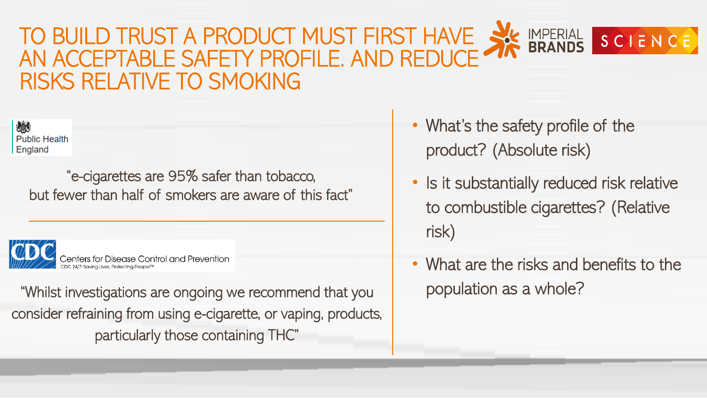### MPERIAL SCIENCE TO BUILD TRUST A PRODUCT MUST FIRST HAVE AN ACCEPTABLE SAFETY PROFILE. AND REDUCE RISKS RELATIVE TO SMOKING



"e-cigarettes are 95% safer than tobacco, but fewer than half of smokers are aware of this fact"



"Whilst investigations are ongoing we recommend that you population as a whole? consider refraining from using e-cigarette, or vaping, products, particularly those containing THC"

- What's the safety profile of the product? (Absolute risk)
- Is it substantially reduced risk relative to combustible cigarettes? (Relative risk)
- What are the risks and benefits to the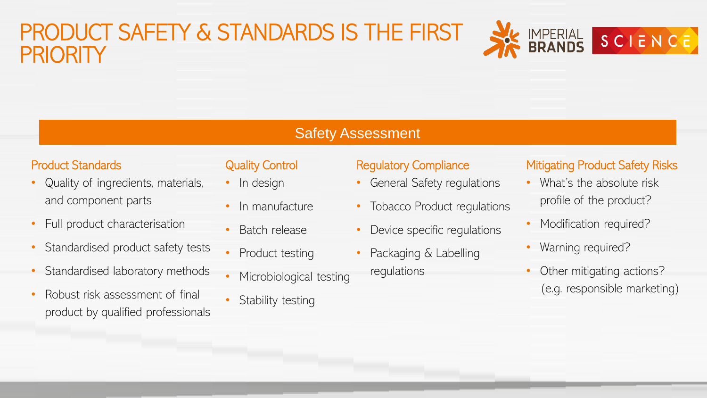## PRODUCT SAFETY & STANDARDS IS THE FIRST **PRIORITY**



#### Safety Assessment

#### Product Standards

- Quality of ingredients, materials, and component parts
- Full product characterisation
- Standardised product safety tests
- Standardised laboratory methods
- Robust risk assessment of final product by qualified professionals

#### Quality Control

- In design
- In manufacture
- Batch release
- Product testing
- Microbiological testing
- Stability testing

#### Regulatory Compliance

- General Safety regulations
- Tobacco Product requlations
- Device specific regulations
- Packaging & Labelling regulations

#### Mitigating Product Safety Risks

- What's the absolute risk profile of the product?
- Modification required?
- Warning required?
- Other mitigating actions? (e.g. responsible marketing)

 $\overline{a}$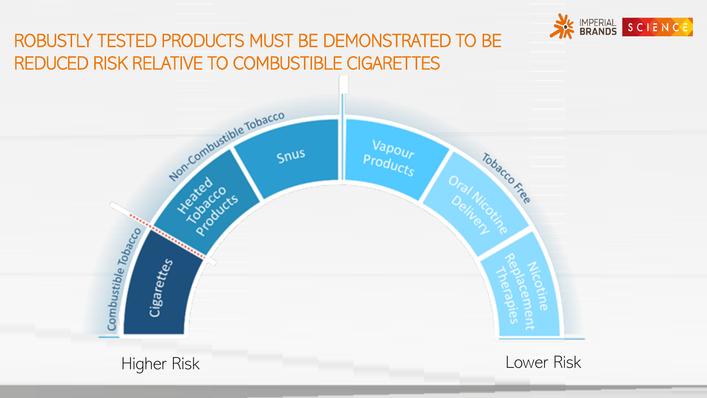

### ROBUSTLY TESTED PRODUCTS MUST BE DEMONSTRATED TO BE REDUCED RISK RELATIVE TO COMBUSTIBLE CIGARETTES

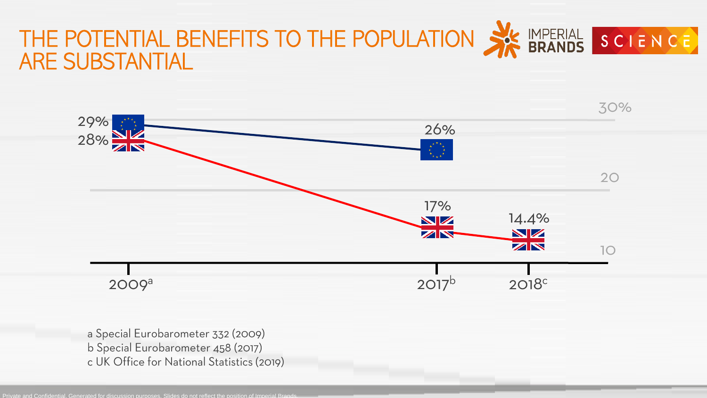



- a Special Eurobarometer 332 (2009)
- b Special Eurobarometer 458 (2017)
- c UK Office for National Statistics (2019)

Private and Confidential. Generated for discussion purposes. Slides do not reflect the position of Imperial Brands.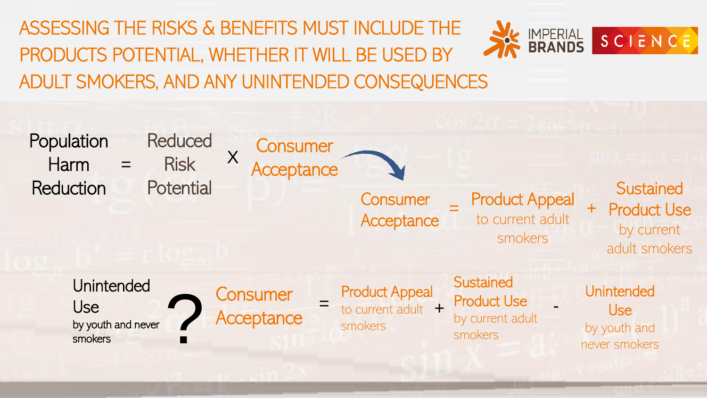ASSESSING THE RISKS & BENEFITS MUST INCLUDE THE PRODUCTS POTENTIAL, WHETHER IT WILL BE USED BY ADULT SMOKERS, AND ANY UNINTENDED CONSEQUENCES



**IMPERIAL<br>BRANDS** 

SCIENCE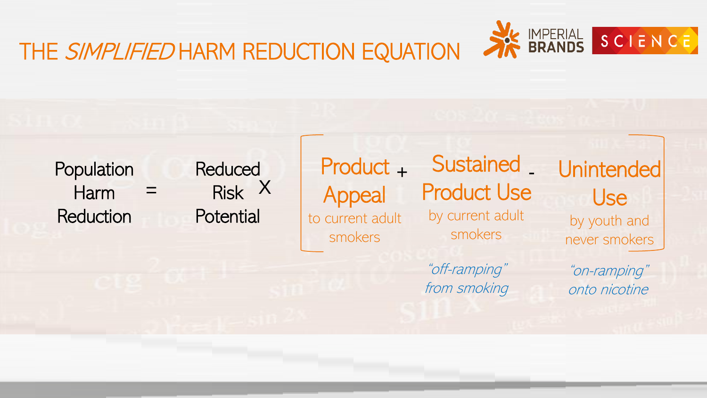

## THE SIMPLIFIED HARM REDUCTION EQUATION

Population Harm **Reduction** 

**Reduced**  $=$  Risk X **Potential** 

Product <sub>+</sub> Appeal to current adult smokers

Sustained \_ Product Use by current adult smokers

"off-ramping" from smoking **Unintended** Use by youth and never smokers

> "on-ramping" onto nicotine

> > $\overline{a}$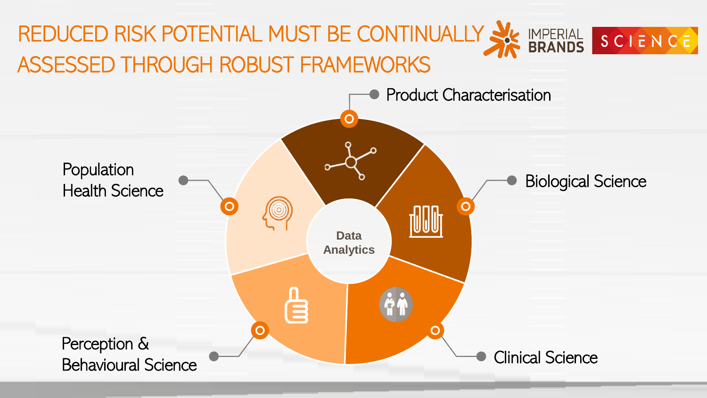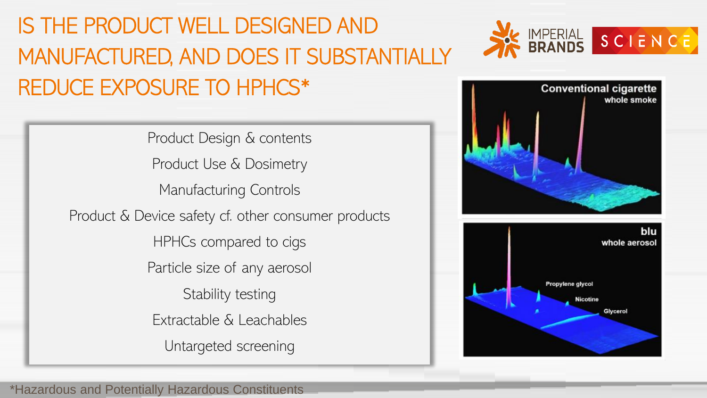IS THE PRODUCT WELL DESIGNED AND MANUFACTURED, AND DOES IT SUBSTANTIALLY REDUCE EXPOSURE TO HPHCS\*

> Product Design & contents Product Use & Dosimetry Manufacturing Controls Product & Device safety cf. other consumer products HPHCs compared to cigs Particle size of any aerosol Stability testing Extractable & Leachables Untargeted screening





 $\overline{\phantom{0}}$ 

\*Hazardous and Potentially Hazardous Constituents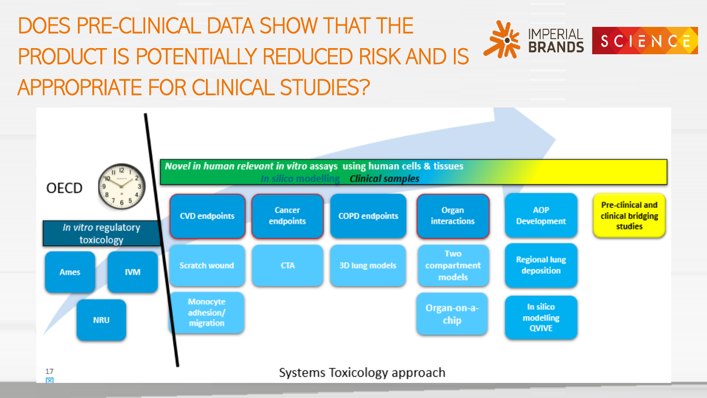### DOES PRE-CLINICAL DATA SHOW THAT THE IMPERIAL SCIENCE PRODUCT IS POTENTIALLY REDUCED RISK AND IS APPROPRIATE FOR CLINICAL STUDIES?



Systems Toxicology approach

10 |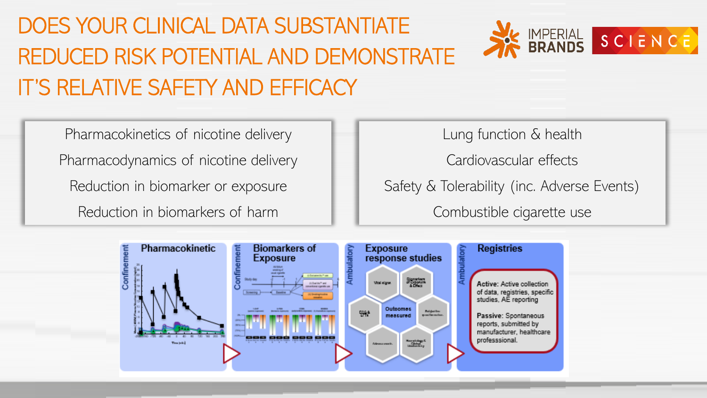# DOES YOUR CLINICAL DATA SUBSTANTIATE REDUCED RISK POTENTIAL AND DEMONSTRATE IT'S RELATIVE SAFETY AND EFFICACY



11 |

Pharmacokinetics of nicotine delivery Pharmacodynamics of nicotine delivery

Reduction in biomarker or exposure

Reduction in biomarkers of harm

Lung function & health

Cardiovascular effects

Safety & Tolerability (inc. Adverse Events)

Combustible cigarette use

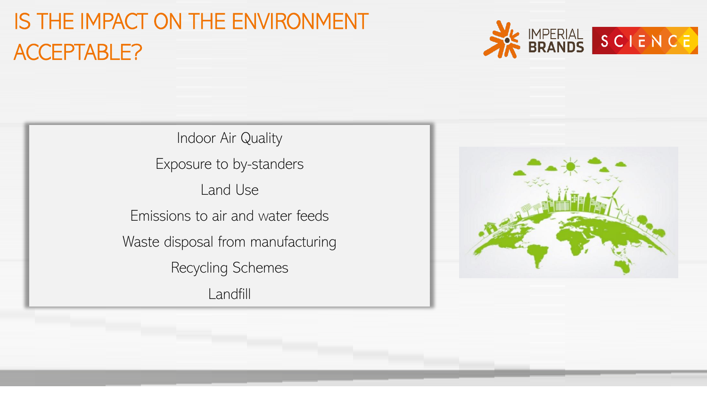## IS THE IMPACT ON THE ENVIRONMENT ACCEPTABLE?



Indoor Air Quality Exposure to by-standers Land Use Emissions to air and water feeds Waste disposal from manufacturing Recycling Schemes Landfill

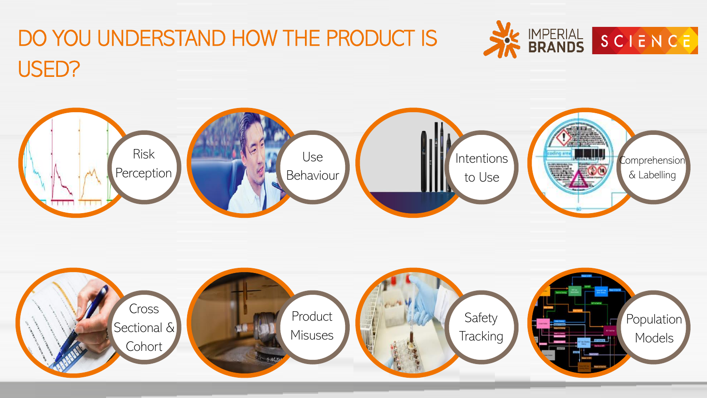



# DO YOU UNDERSTAND HOW THE PRODUCT IS USED?



13 |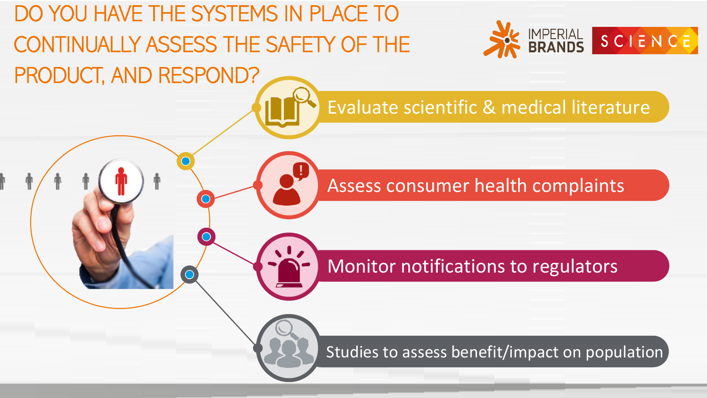